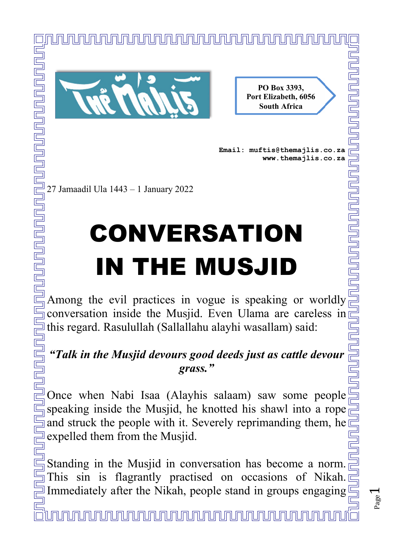

**PO Box 3393, Port Elizabeth, 6056 South Africa** 

**Email: muftis@themajlis.co.za www.themajlis.co.za** 

> Page  $\overline{\phantom{0}}$

## CONVERSATION IN THE MUSJID

<u>INUNUNUNUNUNUNUNUNUNUNUNUNUNUNUNU</u>

 $\stackrel{\text{def}}{=}$  Among the evil practices in vogue is speaking or worldly  $\overline{\Box}$  conversation inside the Musjid. Even Ulama are careless in  $\exists$  this regard. Rasulullah (Sallallahu alayhi wasallam) said:

## *"Talk in the Musjid devours good deeds just as cattle devour grass."*

 $\exists$  Once when Nabi Isaa (Alayhis salaam) saw some people  $\frac{3}{2}$  speaking inside the Musjid, he knotted his shawl into a rope and struck the people with it. Severely reprimanding them, he **Expelled them from the Musjid.** 

Standing in the Musjid in conversation has become a norm. This sin is flagrantly practised on occasions of Nikah. Immediately after the Nikah, people stand in groups engaging